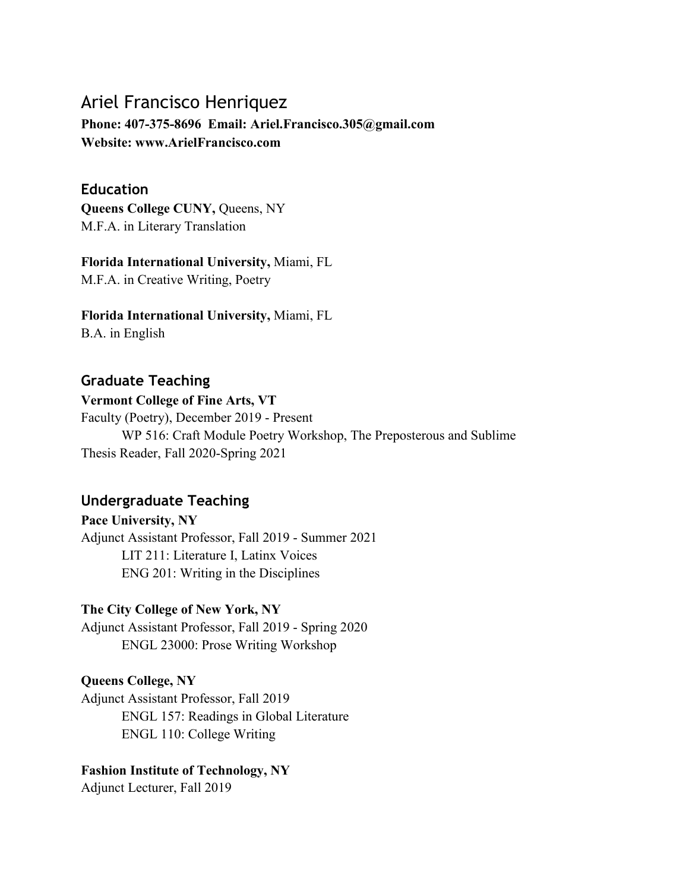# Ariel Francisco Henriquez

**Phone: 407-375-8696 Email: Ariel.Francisco.305@gmail.com Website: www.ArielFrancisco.com**

#### **Education**

**Queens College CUNY,** Queens, NY M.F.A. in Literary Translation

**Florida International University,** Miami, FL M.F.A. in Creative Writing, Poetry

#### **Florida International University,** Miami, FL

B.A. in English

## **Graduate Teaching**

#### **Vermont College of Fine Arts, VT**

Faculty (Poetry), December 2019 - Present WP 516: Craft Module Poetry Workshop, The Preposterous and Sublime Thesis Reader, Fall 2020-Spring 2021

## **Undergraduate Teaching**

# **Pace University, NY**

Adjunct Assistant Professor, Fall 2019 - Summer 2021 LIT 211: Literature I, Latinx Voices ENG 201: Writing in the Disciplines

#### **The City College of New York, NY**

Adjunct Assistant Professor, Fall 2019 - Spring 2020 ENGL 23000: Prose Writing Workshop

#### **Queens College, NY**

Adjunct Assistant Professor, Fall 2019 ENGL 157: Readings in Global Literature ENGL 110: College Writing

#### **Fashion Institute of Technology, NY**

Adjunct Lecturer, Fall 2019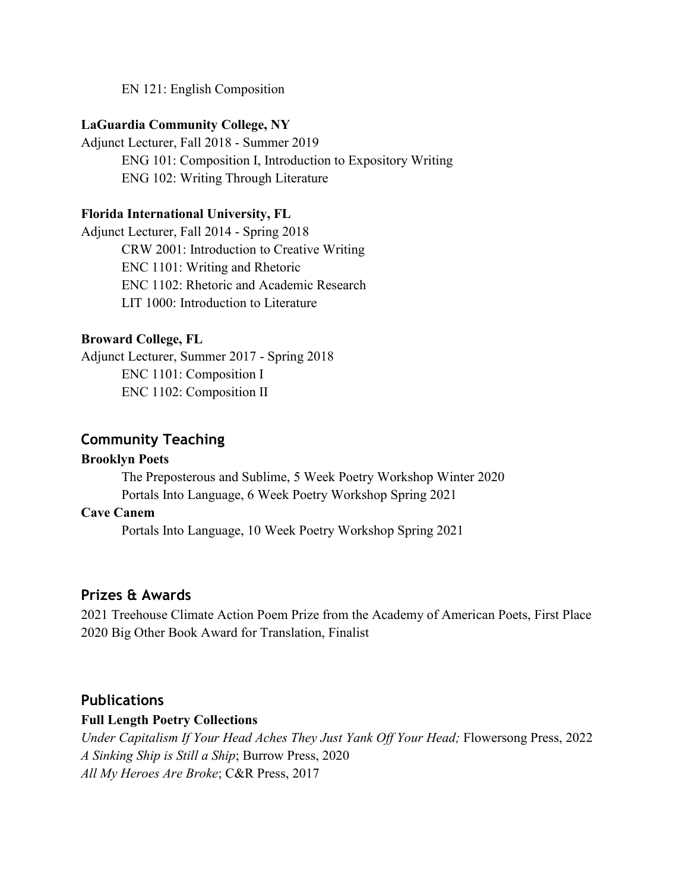EN 121: English Composition

#### **LaGuardia Community College, NY**

Adjunct Lecturer, Fall 2018 - Summer 2019 ENG 101: Composition I, Introduction to Expository Writing ENG 102: Writing Through Literature

#### **Florida International University, FL**

Adjunct Lecturer, Fall 2014 - Spring 2018 CRW 2001: Introduction to Creative Writing ENC 1101: Writing and Rhetoric ENC 1102: Rhetoric and Academic Research LIT 1000: Introduction to Literature

#### **Broward College, FL**

Adjunct Lecturer, Summer 2017 - Spring 2018 ENC 1101: Composition I ENC 1102: Composition II

#### **Community Teaching**

#### **Brooklyn Poets**

The Preposterous and Sublime, 5 Week Poetry Workshop Winter 2020 Portals Into Language, 6 Week Poetry Workshop Spring 2021

#### **Cave Canem**

Portals Into Language, 10 Week Poetry Workshop Spring 2021

#### **Prizes & Awards**

2021 Treehouse Climate Action Poem Prize from the Academy of American Poets, First Place 2020 Big Other Book Award for Translation, Finalist

#### **Publications**

#### **Full Length Poetry Collections**

*Under Capitalism If Your Head Aches They Just Yank Off Your Head;* Flowersong Press, 2022 *A Sinking Ship is Still a Ship*; Burrow Press, 2020 *All My Heroes Are Broke*; C&R Press, 2017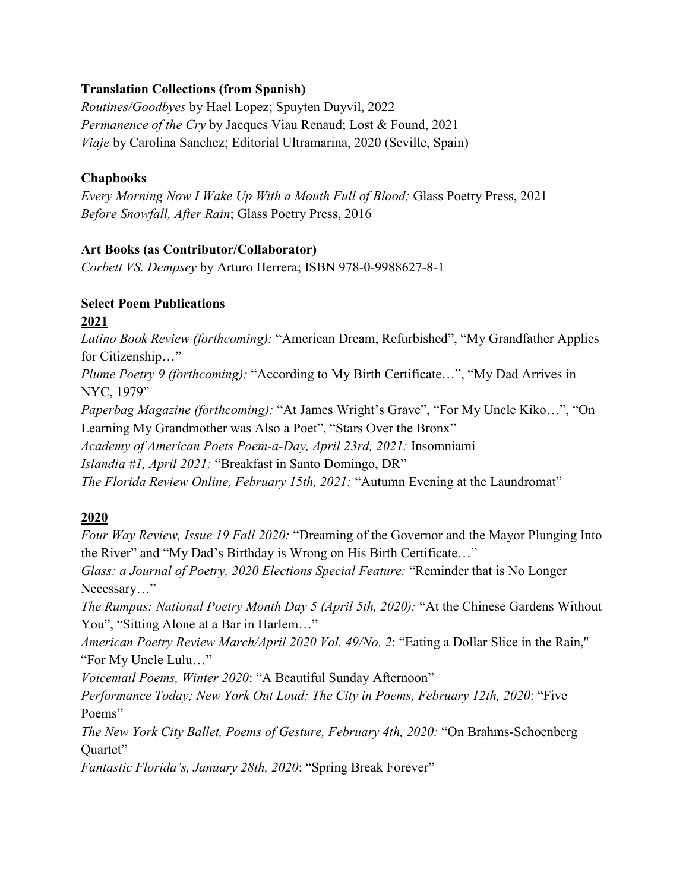#### **Translation Collections (from Spanish)**

*Routines/Goodbyes* by Hael Lopez; Spuyten Duyvil, 2022 *Permanence of the Cry* by Jacques Viau Renaud; Lost & Found, 2021 *Viaje* by Carolina Sanchez; Editorial Ultramarina, 2020 (Seville, Spain)

#### **Chapbooks**

*Every Morning Now I Wake Up With a Mouth Full of Blood;* Glass Poetry Press, 2021 *Before Snowfall, After Rain*; Glass Poetry Press, 2016

#### **Art Books (as Contributor/Collaborator)**

*Corbett VS. Dempsey* by Arturo Herrera; ISBN 978-0-9988627-8-1

# **Select Poem Publications**

**2021**

*Latino Book Review (forthcoming):* "American Dream, Refurbished", "My Grandfather Applies for Citizenship…"

*Plume Poetry 9 (forthcoming):* "According to My Birth Certificate…", "My Dad Arrives in NYC, 1979"

*Paperbag Magazine (forthcoming):* "At James Wright's Grave", "For My Uncle Kiko…", "On Learning My Grandmother was Also a Poet", "Stars Over the Bronx"

*Academy of American Poets Poem-a-Day, April 23rd, 2021:* Insomniami

*Islandia #1, April 2021:* "Breakfast in Santo Domingo, DR"

*The Florida Review Online, February 15th, 2021:* "Autumn Evening at the Laundromat"

## **2020**

Ouartet"

*Four Way Review, Issue 19 Fall 2020:* "Dreaming of the Governor and the Mayor Plunging Into the River" and "My Dad's Birthday is Wrong on His Birth Certificate…" *Glass: a Journal of Poetry, 2020 Elections Special Feature:* "Reminder that is No Longer Necessary…" *The Rumpus: National Poetry Month Day 5 (April 5th, 2020):* "At the Chinese Gardens Without You", "Sitting Alone at a Bar in Harlem…" *American Poetry Review March/April 2020 Vol. 49/No. 2*: "Eating a Dollar Slice in the Rain,'' "For My Uncle Lulu…" *Voicemail Poems, Winter 2020*: "A Beautiful Sunday Afternoon" *Performance Today; New York Out Loud: The City in Poems, February 12th, 2020*: "Five Poems" *The New York City Ballet, Poems of Gesture, February 4th, 2020:* "On Brahms-Schoenberg

*Fantastic Florida's, January 28th, 2020*: "Spring Break Forever"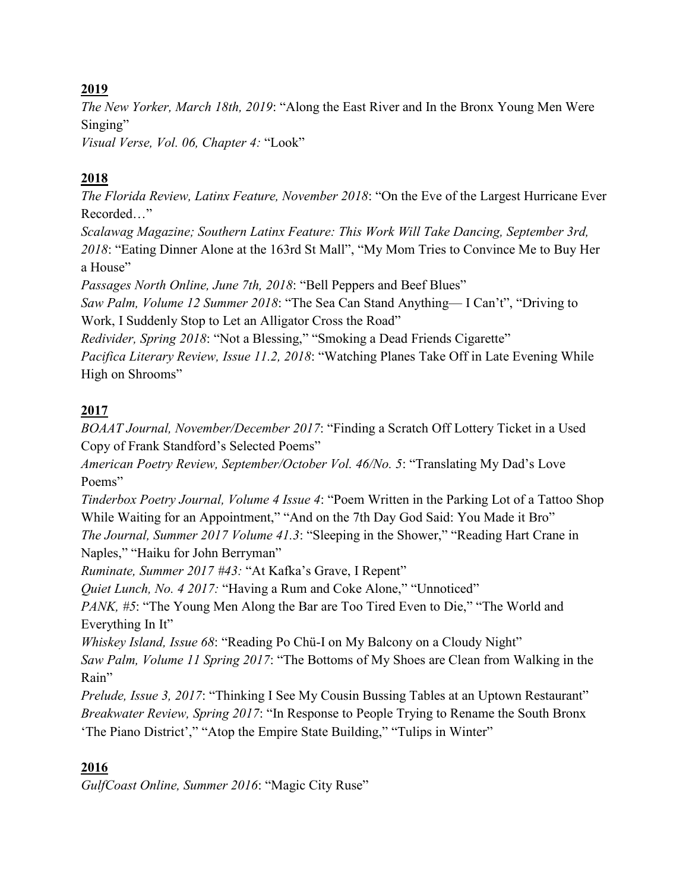## **2019**

*The New Yorker, March 18th, 2019*: "Along the East River and In the Bronx Young Men Were Singing"

*Visual Verse, Vol. 06, Chapter 4:* "Look"

# **2018**

*The Florida Review, Latinx Feature, November 2018*: "On the Eve of the Largest Hurricane Ever Recorded…"

*Scalawag Magazine; Southern Latinx Feature: This Work Will Take Dancing, September 3rd, 2018*: "Eating Dinner Alone at the 163rd St Mall", "My Mom Tries to Convince Me to Buy Her a House"

*Passages North Online, June 7th, 2018*: "Bell Peppers and Beef Blues"

*Saw Palm, Volume 12 Summer 2018*: "The Sea Can Stand Anything— I Can't", "Driving to Work, I Suddenly Stop to Let an Alligator Cross the Road"

*Redivider, Spring 2018*: "Not a Blessing," "Smoking a Dead Friends Cigarette"

*Pacifica Literary Review, Issue 11.2, 2018*: "Watching Planes Take Off in Late Evening While High on Shrooms"

# **2017**

*BOAAT Journal, November/December 2017*: "Finding a Scratch Off Lottery Ticket in a Used Copy of Frank Standford's Selected Poems"

*American Poetry Review, September/October Vol. 46/No. 5*: "Translating My Dad's Love Poems"

*Tinderbox Poetry Journal, Volume 4 Issue 4*: "Poem Written in the Parking Lot of a Tattoo Shop While Waiting for an Appointment," "And on the 7th Day God Said: You Made it Bro" *The Journal, Summer 2017 Volume 41.3*: "Sleeping in the Shower," "Reading Hart Crane in Naples," "Haiku for John Berryman"

*Ruminate, Summer 2017 #43:* "At Kafka's Grave, I Repent"

*Quiet Lunch, No. 4 2017:* "Having a Rum and Coke Alone," "Unnoticed"

*PANK, #5*: "The Young Men Along the Bar are Too Tired Even to Die," "The World and Everything In It"

*Whiskey Island, Issue 68*: "Reading Po Chü-I on My Balcony on a Cloudy Night"

*Saw Palm, Volume 11 Spring 2017*: "The Bottoms of My Shoes are Clean from Walking in the Rain"

*Prelude, Issue 3, 2017*: "Thinking I See My Cousin Bussing Tables at an Uptown Restaurant" *Breakwater Review, Spring 2017*: "In Response to People Trying to Rename the South Bronx 'The Piano District'," "Atop the Empire State Building," "Tulips in Winter"

## **2016**

*GulfCoast Online, Summer 2016*: "Magic City Ruse"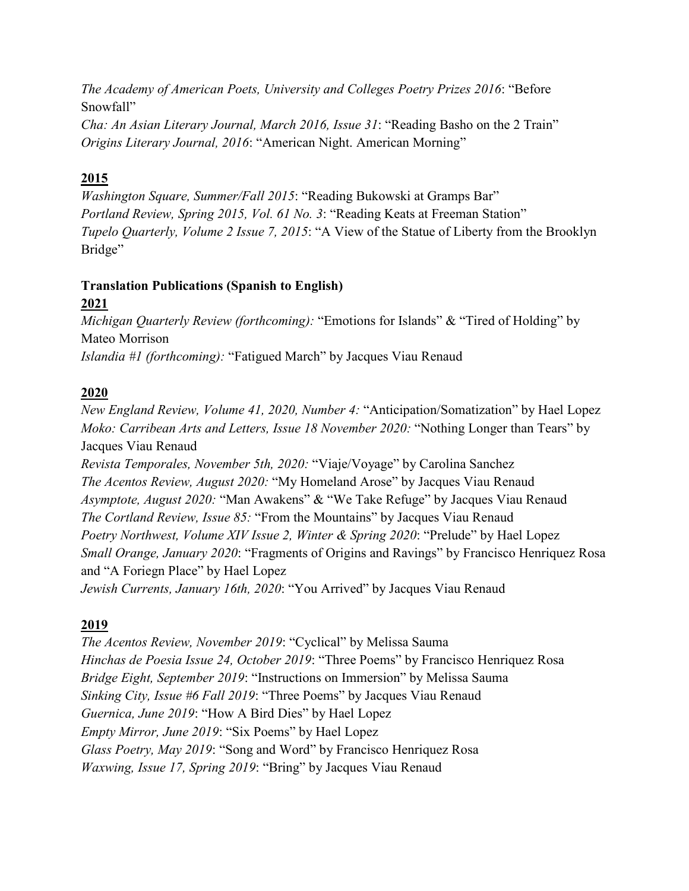*The Academy of American Poets, University and Colleges Poetry Prizes 2016*: "Before Snowfall"

*Cha: An Asian Literary Journal, March 2016, Issue 31*: "Reading Basho on the 2 Train" *Origins Literary Journal, 2016*: "American Night. American Morning"

## **2015**

*Washington Square, Summer/Fall 2015*: "Reading Bukowski at Gramps Bar" *Portland Review, Spring 2015, Vol. 61 No. 3*: "Reading Keats at Freeman Station" *Tupelo Quarterly, Volume 2 Issue 7, 2015*: "A View of the Statue of Liberty from the Brooklyn Bridge"

# **Translation Publications (Spanish to English)**

## **2021**

*Michigan Quarterly Review (forthcoming):* "Emotions for Islands" & "Tired of Holding" by Mateo Morrison *Islandia #1 (forthcoming):* "Fatigued March" by Jacques Viau Renaud

## **2020**

*New England Review, Volume 41, 2020, Number 4:* "Anticipation/Somatization" by Hael Lopez *Moko: Carribean Arts and Letters, Issue 18 November 2020:* "Nothing Longer than Tears" by Jacques Viau Renaud *Revista Temporales, November 5th, 2020:* "Viaje/Voyage" by Carolina Sanchez *The Acentos Review, August 2020:* "My Homeland Arose" by Jacques Viau Renaud *Asymptote, August 2020:* "Man Awakens" & "We Take Refuge" by Jacques Viau Renaud *The Cortland Review, Issue 85:* "From the Mountains" by Jacques Viau Renaud *Poetry Northwest, Volume XIV Issue 2, Winter & Spring 2020*: "Prelude" by Hael Lopez *Small Orange, January 2020*: "Fragments of Origins and Ravings" by Francisco Henriquez Rosa and "A Foriegn Place" by Hael Lopez

*Jewish Currents, January 16th, 2020*: "You Arrived" by Jacques Viau Renaud

# **2019**

*The Acentos Review, November 2019*: "Cyclical" by Melissa Sauma *Hinchas de Poesia Issue 24, October 2019*: "Three Poems" by Francisco Henriquez Rosa *Bridge Eight, September 2019*: "Instructions on Immersion" by Melissa Sauma *Sinking City, Issue #6 Fall 2019*: "Three Poems" by Jacques Viau Renaud *Guernica, June 2019*: "How A Bird Dies" by Hael Lopez *Empty Mirror, June 2019*: "Six Poems" by Hael Lopez *Glass Poetry, May 2019*: "Song and Word" by Francisco Henriquez Rosa *Waxwing, Issue 17, Spring 2019*: "Bring" by Jacques Viau Renaud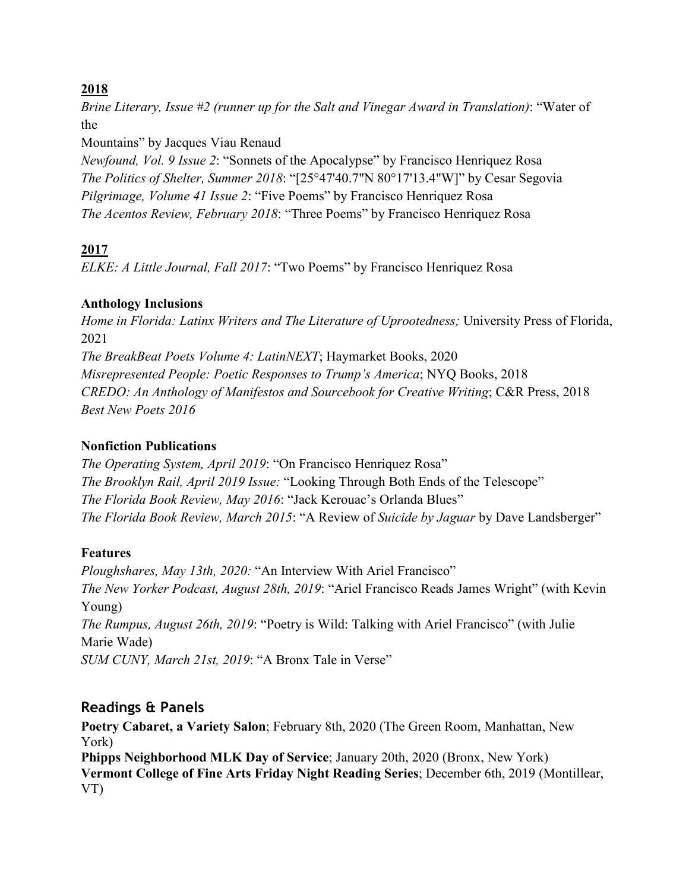#### **2018**

*Brine Literary, Issue #2 (runner up for the Salt and Vinegar Award in Translation)*: "Water of the

Mountains" by Jacques Viau Renaud

*Newfound, Vol. 9 Issue 2*: "Sonnets of the Apocalypse" by Francisco Henriquez Rosa *The Politics of Shelter, Summer 2018*: "[25°47'40.7"N 80°17'13.4"W]" by Cesar Segovia *Pilgrimage, Volume 41 Issue 2*: "Five Poems" by Francisco Henriquez Rosa *The Acentos Review, February 2018*: "Three Poems" by Francisco Henriquez Rosa

## **2017**

*ELKE: A Little Journal, Fall 2017*: "Two Poems" by Francisco Henriquez Rosa

## **Anthology Inclusions**

*Home in Florida: Latinx Writers and The Literature of Uprootedness;* University Press of Florida, 2021 *The BreakBeat Poets Volume 4: LatinNEXT*; Haymarket Books, 2020 *Misrepresented People: Poetic Responses to Trump's America*; NYQ Books, 2018 *CREDO: An Anthology of Manifestos and Sourcebook for Creative Writing*; C&R Press, 2018 *Best New Poets 2016*

## **Nonfiction Publications**

*The Operating System, April 2019*: "On Francisco Henriquez Rosa" *The Brooklyn Rail, April 2019 Issue:* "Looking Through Both Ends of the Telescope" *The Florida Book Review, May 2016*: "Jack Kerouac's Orlanda Blues" *The Florida Book Review, March 2015*: "A Review of *Suicide by Jaguar* by Dave Landsberger"

## **Features**

*Ploughshares, May 13th, 2020:* "An Interview With Ariel Francisco" *The New Yorker Podcast, August 28th, 2019*: "Ariel Francisco Reads James Wright" (with Kevin Young) *The Rumpus, August 26th, 2019*: "Poetry is Wild: Talking with Ariel Francisco" (with Julie Marie Wade) *SUM CUNY, March 21st, 2019*: "A Bronx Tale in Verse"

## **Readings & Panels**

**Poetry Cabaret, a Variety Salon**; February 8th, 2020 (The Green Room, Manhattan, New York)

**Phipps Neighborhood MLK Day of Service**; January 20th, 2020 (Bronx, New York) **Vermont College of Fine Arts Friday Night Reading Series**; December 6th, 2019 (Montillear, VT)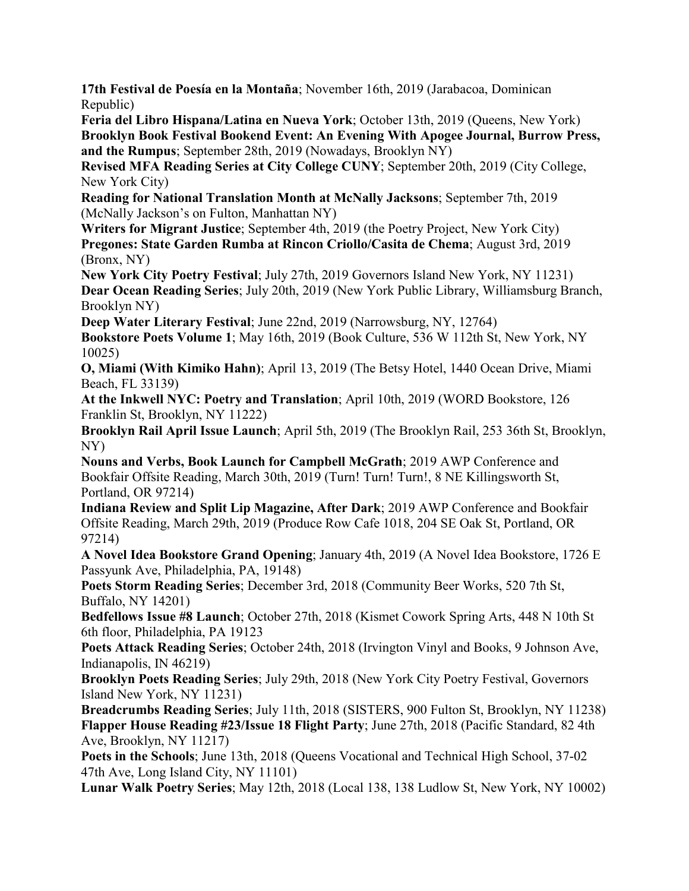**17th Festival de Poesía en la Montaña**; November 16th, 2019 (Jarabacoa, Dominican Republic)

**Feria del Libro Hispana/Latina en Nueva York**; October 13th, 2019 (Queens, New York) **Brooklyn Book Festival Bookend Event: An Evening With Apogee Journal, Burrow Press, and the Rumpus**; September 28th, 2019 (Nowadays, Brooklyn NY)

**Revised MFA Reading Series at City College CUNY**; September 20th, 2019 (City College, New York City)

**Reading for National Translation Month at McNally Jacksons**; September 7th, 2019 (McNally Jackson's on Fulton, Manhattan NY)

**Writers for Migrant Justice**; September 4th, 2019 (the Poetry Project, New York City) **Pregones: State Garden Rumba at Rincon Criollo/Casita de Chema**; August 3rd, 2019 (Bronx, NY)

**New York City Poetry Festival**; July 27th, 2019 Governors Island New York, NY 11231) **Dear Ocean Reading Series**; July 20th, 2019 (New York Public Library, Williamsburg Branch, Brooklyn NY)

**Deep Water Literary Festival**; June 22nd, 2019 (Narrowsburg, NY, 12764) **Bookstore Poets Volume 1**; May 16th, 2019 (Book Culture, 536 W 112th St, New York, NY 10025)

**O, Miami (With Kimiko Hahn)**; April 13, 2019 (The Betsy Hotel, 1440 Ocean Drive, Miami Beach, FL 33139)

**At the Inkwell NYC: Poetry and Translation**; April 10th, 2019 (WORD Bookstore, 126 Franklin St, Brooklyn, NY 11222)

**Brooklyn Rail April Issue Launch**; April 5th, 2019 (The Brooklyn Rail, 253 36th St, Brooklyn, NY)

**Nouns and Verbs, Book Launch for Campbell McGrath**; 2019 AWP Conference and Bookfair Offsite Reading, March 30th, 2019 (Turn! Turn! Turn!, 8 NE Killingsworth St, Portland, OR 97214)

**Indiana Review and Split Lip Magazine, After Dark**; 2019 AWP Conference and Bookfair Offsite Reading, March 29th, 2019 (Produce Row Cafe 1018, 204 SE Oak St, Portland, OR 97214)

**A Novel Idea Bookstore Grand Opening**; January 4th, 2019 (A Novel Idea Bookstore, 1726 E Passyunk Ave, Philadelphia, PA, 19148)

**Poets Storm Reading Series**; December 3rd, 2018 (Community Beer Works, 520 7th St, Buffalo, NY 14201)

**Bedfellows Issue #8 Launch**; October 27th, 2018 (Kismet Cowork Spring Arts, 448 N 10th St 6th floor, Philadelphia, PA 19123

**Poets Attack Reading Series**; October 24th, 2018 (Irvington Vinyl and Books, 9 Johnson Ave, Indianapolis, IN 46219)

**Brooklyn Poets Reading Series**; July 29th, 2018 (New York City Poetry Festival, Governors Island New York, NY 11231)

**Breadcrumbs Reading Series**; July 11th, 2018 (SISTERS, 900 Fulton St, Brooklyn, NY 11238) **Flapper House Reading #23/Issue 18 Flight Party**; June 27th, 2018 (Pacific Standard, 82 4th Ave, Brooklyn, NY 11217)

Poets in the Schools; June 13th, 2018 (Queens Vocational and Technical High School, 37-02 47th Ave, Long Island City, NY 11101)

**Lunar Walk Poetry Series**; May 12th, 2018 (Local 138, 138 Ludlow St, New York, NY 10002)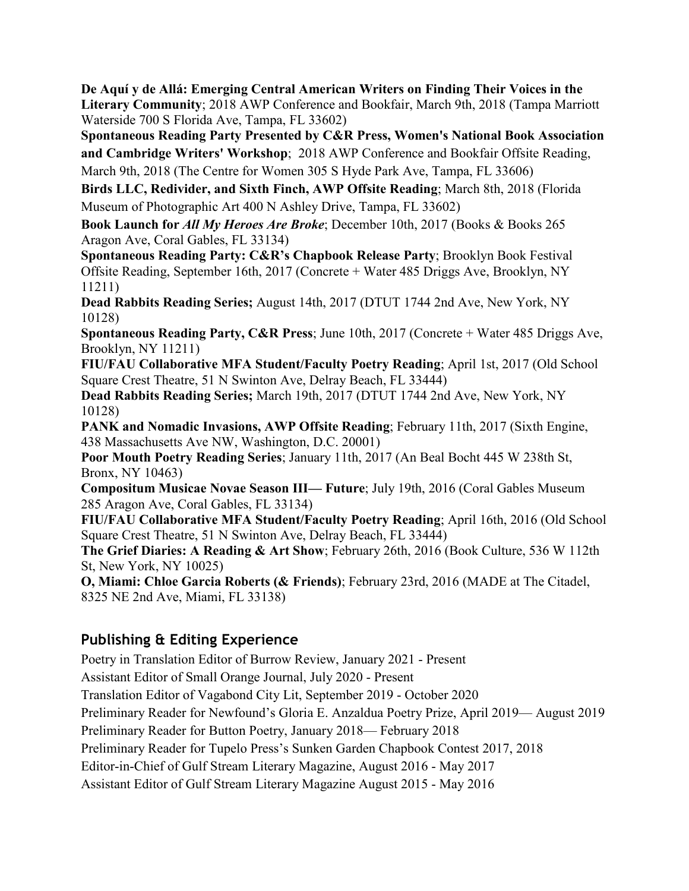**De Aquí y de Allá: Emerging Central American Writers on Finding Their Voices in the Literary Community**; 2018 AWP Conference and Bookfair, March 9th, 2018 (Tampa Marriott Waterside 700 S Florida Ave, Tampa, FL 33602)

**Spontaneous Reading Party Presented by C&R Press, Women's National Book Association and Cambridge Writers' Workshop**; 2018 AWP Conference and Bookfair Offsite Reading, March 9th, 2018 (The Centre for Women 305 S Hyde Park Ave, Tampa, FL 33606)

**Birds LLC, Redivider, and Sixth Finch, AWP Offsite Reading**; March 8th, 2018 (Florida Museum of Photographic Art 400 N Ashley Drive, Tampa, FL 33602)

**Book Launch for** *All My Heroes Are Broke*; December 10th, 2017 (Books & Books 265 Aragon Ave, Coral Gables, FL 33134)

**Spontaneous Reading Party: C&R's Chapbook Release Party**; Brooklyn Book Festival Offsite Reading, September 16th, 2017 (Concrete + Water 485 Driggs Ave, Brooklyn, NY 11211)

**Dead Rabbits Reading Series;** August 14th, 2017 (DTUT 1744 2nd Ave, New York, NY 10128)

**Spontaneous Reading Party, C&R Press**; June 10th, 2017 (Concrete + Water 485 Driggs Ave, Brooklyn, NY 11211)

**FIU/FAU Collaborative MFA Student/Faculty Poetry Reading**; April 1st, 2017 (Old School Square Crest Theatre, 51 N Swinton Ave, Delray Beach, FL 33444)

**Dead Rabbits Reading Series;** March 19th, 2017 (DTUT 1744 2nd Ave, New York, NY 10128)

**PANK and Nomadic Invasions, AWP Offsite Reading**; February 11th, 2017 (Sixth Engine, 438 Massachusetts Ave NW, Washington, D.C. 20001)

**Poor Mouth Poetry Reading Series**; January 11th, 2017 (An Beal Bocht 445 W 238th St, Bronx, NY 10463)

**Compositum Musicae Novae Season III— Future**; July 19th, 2016 (Coral Gables Museum 285 Aragon Ave, Coral Gables, FL 33134)

**FIU/FAU Collaborative MFA Student/Faculty Poetry Reading**; April 16th, 2016 (Old School Square Crest Theatre, 51 N Swinton Ave, Delray Beach, FL 33444)

**The Grief Diaries: A Reading & Art Show**; February 26th, 2016 (Book Culture, 536 W 112th St, New York, NY 10025)

**O, Miami: Chloe Garcia Roberts (& Friends)**; February 23rd, 2016 (MADE at The Citadel, 8325 NE 2nd Ave, Miami, FL 33138)

# **Publishing & Editing Experience**

Poetry in Translation Editor of Burrow Review, January 2021 - Present Assistant Editor of Small Orange Journal, July 2020 - Present Translation Editor of Vagabond City Lit, September 2019 - October 2020 Preliminary Reader for Newfound's Gloria E. Anzaldua Poetry Prize, April 2019— August 2019 Preliminary Reader for Button Poetry, January 2018— February 2018 Preliminary Reader for Tupelo Press's Sunken Garden Chapbook Contest 2017, 2018 Editor-in-Chief of Gulf Stream Literary Magazine, August 2016 - May 2017 Assistant Editor of Gulf Stream Literary Magazine August 2015 - May 2016